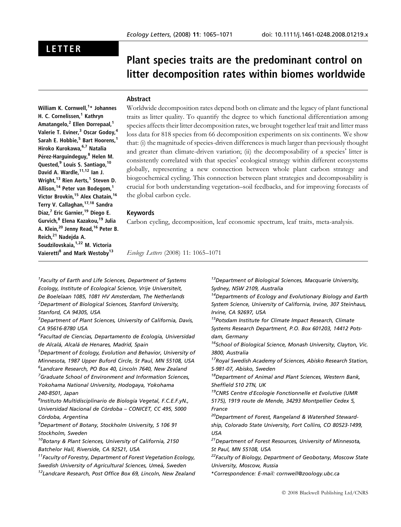## LETTER

# Plant species traits are the predominant control on litter decomposition rates within biomes worldwide

### **Abstract**

William K. Cornwell,<sup>1</sup>\* Johannes H. C. Cornelissen,<sup>1</sup> Kathryn Amatangelo,<sup>2</sup> Ellen Dorrepaal,<sup>1</sup> Valerie T. Eviner,<sup>3</sup> Oscar Godoy,<sup>4</sup> Sarah E. Hobbie,<sup>5</sup> Bart Hoorens,<sup>1</sup> Hiroko Kurokawa, 6,7 Natalia Pérez-Harguindeguy,<sup>8</sup> Helen M. Quested,<sup>9</sup> Louis S. Santiago,<sup>10</sup> David A. Wardle, 11, 12 Ian J. Wright,<sup>13</sup> Rien Aerts,<sup>1</sup> Steven D. Allison,<sup>14</sup> Peter van Bodegom,<sup>1</sup> Victor Brovkin, <sup>15</sup> Alex Chatain, <sup>16</sup> Terry V. Callaghan, 17,18 Sandra Díaz,<sup>7</sup> Eric Garnier,<sup>19</sup> Diego E. Gurvich,<sup>8</sup> Elena Kazakou,<sup>19</sup> Julia A. Klein,<sup>20</sup> Jenny Read,<sup>16</sup> Peter B. Reich,<sup>21</sup> Nadejda A. Soudzilovskaia, 1,22 M. Victoria Vaieretti<sup>8</sup> and Mark Westoby<sup>13</sup>

Worldwide decomposition rates depend both on climate and the legacy of plant functional traits as litter quality. To quantify the degree to which functional differentiation among species affects their litter decomposition rates, we brought together leaf trait and litter mass loss data for 818 species from 66 decomposition experiments on six continents. We show that: (i) the magnitude of species-driven differences is much larger than previously thought and greater than climate-driven variation; (ii) the decomposability of a species' litter is consistently correlated with that species' ecological strategy within different ecosystems globally, representing a new connection between whole plant carbon strategy and biogeochemical cycling. This connection between plant strategies and decomposability is crucial for both understanding vegetation–soil feedbacks, and for improving forecasts of the global carbon cycle.

#### Keywords

Carbon cycling, decomposition, leaf economic spectrum, leaf traits, meta-analysis.

Ecology Letters (2008) 11: 1065–1071

1 Faculty of Earth and Life Sciences, Department of Systems Ecology, Institute of Ecological Science, Vrije Universiteit, De Boelelaan 1085, 1081 HV Amsterdam, The Netherlands 2 Department of Biological Sciences, Stanford University, Stanford, CA 94305, USA <sup>3</sup>Department of Plant Sciences, University of California, Davis,

CA 95616-8780 USA

<sup>4</sup>Facultad de Ciencias, Departamento de Ecología, Universidad de Alcalá, Alcalá de Henares, Madrid, Spain

5 Department of Ecology, Evolution and Behavior, University of Minnesota, 1987 Upper Buford Circle, St Paul, MN 55108, USA 6 Landcare Research, PO Box 40, Lincoln 7640, New Zealand <sup>7</sup>Graduate School of Environment and Information Sciences,

Yokohama National University, Hodogaya, Yokohama 240-8501, Japan

<sup>8</sup>Instituto Multidisciplinario de Biología Vegetal, F.C.E.F.yN., Universidad Nacional de Córdoba - CONICET, CC 495, 5000 Córdoba, Argentina

9 Department of Botany, Stockholm University, S 106 91 Stockholm, Sweden

<sup>10</sup>Botany & Plant Sciences, University of California, 2150 Batchelor Hall, Riverside, CA 92521, USA

11Faculty of Forestry, Department of Forest Vegetation Ecology, Swedish University of Agricultural Sciences, Umeå, Sweden

<sup>12</sup>Landcare Research, Post Office Box 69, Lincoln, New Zealand

<sup>13</sup>Department of Biological Sciences, Macquarie University, Sydney, NSW 2109, Australia

<sup>14</sup>Departments of Ecology and Evolutionary Biology and Earth System Science, University of California, Irvine, 307 Steinhaus, Irvine, CA 92697, USA

<sup>15</sup>Potsdam Institute for Climate Impact Research, Climate Systems Research Department, P.O. Box 601203, 14412 Potsdam, Germany

<sup>16</sup>School of Biological Science, Monash University, Clayton, Vic. 3800, Australia

<sup>17</sup>Royal Swedish Academy of Sciences, Abisko Research Station, S-981-07, Abisko, Sweden

<sup>18</sup>Department of Animal and Plant Sciences, Western Bank, Sheffield S10 2TN, UK

<sup>19</sup>CNRS Centre d'Ecologie Fonctionnelle et Evolutive (UMR 5175), 1919 route de Mende, 34293 Montpellier Cedex 5, France

<sup>20</sup>Department of Forest, Rangeland & Watershed Stewardship, Colorado State University, Fort Collins, CO 80523-1499, USA

21Department of Forest Resources, University of Minnesota, St Paul, MN 55108, USA

<sup>22</sup>Faculty of Biology, Department of Geobotany, Moscow State University, Moscow, Russia

\*Correspondence: E-mail: cornwell@zoology.ubc.ca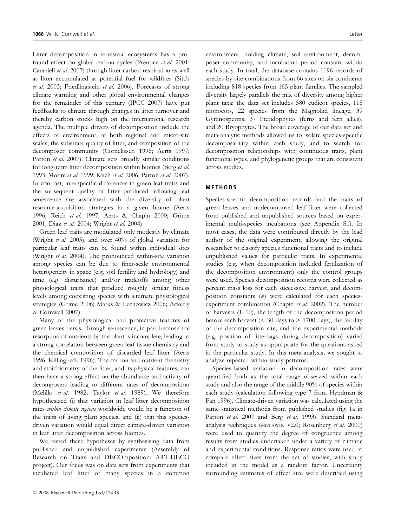Litter decomposition in terrestrial ecosystems has a profound effect on global carbon cycles (Prentice et al. 2001; Canadell et al. 2007) through litter carbon respiration as well as litter accumulated as potential fuel for wildfires (Sitch et al. 2003; Friedlingstein et al. 2006). Forecasts of strong climate warming and other global environmental changes for the remainder of this century (IPCC 2007) have put feedbacks to climate through changes in litter turnover and thereby carbon stocks high on the international research agenda. The multiple drivers of decomposition include the effects of environment, at both regional and micro-site scales, the substrate quality of litter, and composition of the decomposer community (Cornelissen 1996; Aerts 1997; Parton et al. 2007). Climate sets broadly similar conditions for long-term litter decomposition within biomes (Berg et al. 1993; Moore et al. 1999; Raich et al. 2006; Parton et al. 2007). In contrast, interspecific differences in green leaf traits and the subsequent quality of litter produced following leaf senescence are associated with the diversity of plant resource-acquisition strategies in a given biome (Aerts 1996; Reich et al. 1997; Aerts & Chapin 2000; Grime 2001; Diaz et al. 2004; Wright et al. 2004).

Green leaf traits are modulated only modestly by climate (Wright et al. 2005), and over 40% of global variation for particular leaf traits can be found within individual sites (Wright et al. 2004). The pronounced within-site variation among species can be due to finer-scale environmental heterogeneity in space (e.g. soil fertility and hydrology) and time (e.g. disturbance) and/or tradeoffs among other physiological traits that produce roughly similar fitness levels among coexisting species with alternate physiological strategies (Grime 2006; Marks & Lechowicz 2006; Ackerly & Cornwell 2007).

Many of the physiological and protective features of green leaves persist through senescence, in part because the resorption of nutrients by the plant is incomplete, leading to a strong correlation between green leaf tissue chemistry and the chemical composition of discarded leaf litter (Aerts 1996; Killingbeck 1996). The carbon and nutrient chemistry and stoichiometry of the litter, and its physical features, can then have a strong effect on the abundance and activity of decomposers leading to different rates of decomposition (Melillo et al. 1982; Taylor et al. 1989). We therefore hypothesized (i) that variation in leaf litter decomposition rates within climate regions worldwide would be a function of the traits of living plant species; and (ii) that this speciesdriven variation would equal direct climate-driven variation in leaf litter decomposition across biomes.

We tested these hypotheses by synthesising data from published and unpublished experiments (Assembly of Research on Traits and DECOmposition: ART-DECO project). Our focus was on data sets from experiments that incubated leaf litter of many species in a common environment, holding climate, soil environment, decomposer community, and incubation period constant within each study. In total, the database contains 1196 records of species-by-site combinations from 66 sites on six continents including 818 species from 165 plant families. The sampled diversity largely parallels the mix of diversity among higher plant taxa: the data set includes 580 eudicot species, 118 monocots, 22 species from the Magnoliid lineage, 39 Gymnosperms, 37 Pteridophytes (ferns and fern allies), and 20 Bryophytes. The broad coverage of our data set and meta-analytic methods allowed us to isolate species-specific decomposability within each study, and to search for decomposition relationships with continuous traits, plant functional types, and phylogenetic groups that are consistent across studies.

#### METHODS

Species-specific decomposition records and the traits of green leaves and undecomposed leaf litter were collected from published and unpublished sources based on experimental multi-species incubations (see Appendix S1). In most cases, the data were contributed directly by the lead author of the original experiment, allowing the original researcher to classify species functional traits and to include unpublished values for particular traits. In experimental studies (e.g. when decomposition included fertilization of the decomposition environment) only the control groups were used. Species decomposition records were collected as percent mass loss for each successive harvest, and decomposition constants (k) were calculated for each speciesexperiment combination (Chapin et al. 2002). The number of harvests (1–10), the length of the decomposition period before each harvest ( $\leq$  30 days to  $>$  1700 days), the fertility of the decomposition site, and the experimental methods (e.g. position of litterbags during decomposition) varied from study to study as appropriate for the questions asked in the particular study. In this meta-analysis, we sought to analyze repeated within-study patterns.

Species-based variation in decomposition rates were quantified both as the total range observed within each study and also the range of the middle 90% of species within each study (calculation following type 7 from Hyndman & Fan 1996). Climate-driven variation was calculated using the same statistical methods from published studies (fig. 1a in Parton et al. 2007 and Berg et al. 1993). Standard metaanalysis techniques (METAWIN v2.0; Rosenberg et al. 2000) were used to quantify the degree of congruence among results from studies undertaken under a variety of climatic and experimental conditions. Response ratios were used to compare effect sizes from the set of studies, with study included in the model as a random factor. Uncertainty surrounding estimates of effect size were described using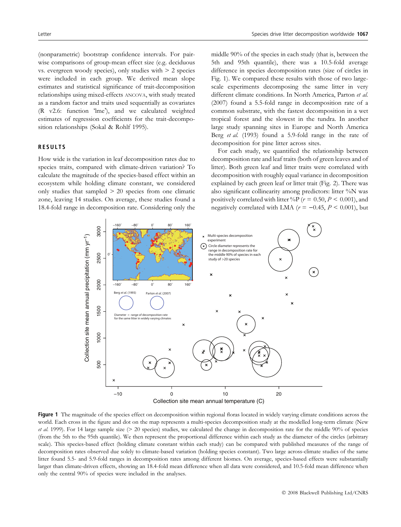(nonparametric) bootstrap confidence intervals. For pairwise comparisons of group-mean effect size (e.g. deciduous vs. evergreen woody species), only studies with > 2 species were included in each group. We derived mean slope estimates and statistical significance of trait-decomposition relationships using mixed-effects ANCOVA, with study treated as a random factor and traits used sequentially as covariates (R v2.6: function 'lme'), and we calculated weighted estimates of regression coefficients for the trait-decomposition relationships (Sokal & Rohlf 1995).

#### RESULTS

How wide is the variation in leaf decomposition rates due to species traits, compared with climate-driven variation? To calculate the magnitude of the species-based effect within an ecosystem while holding climate constant, we considered only studies that sampled  $> 20$  species from one climatic zone, leaving 14 studies. On average, these studies found a 18.4-fold range in decomposition rate. Considering only the middle 90% of the species in each study (that is, between the 5th and 95th quantile), there was a 10.5-fold average difference in species decomposition rates (size of circles in Fig. 1). We compared these results with those of two largescale experiments decomposing the same litter in very different climate conditions. In North America, Parton et al. (2007) found a 5.5-fold range in decomposition rate of a common substrate, with the fastest decomposition in a wet tropical forest and the slowest in the tundra. In another large study spanning sites in Europe and North America Berg et al. (1993) found a 5.9-fold range in the rate of decomposition for pine litter across sites.

For each study, we quantified the relationship between decomposition rate and leaf traits (both of green leaves and of litter). Both green leaf and litter traits were correlated with decomposition with roughly equal variance in decomposition explained by each green leaf or litter trait (Fig. 2). There was also significant collinearity among predictors: litter  $\%N$  was positively correlated with litter %P ( $r = 0.50, P < 0.001$ ), and negatively correlated with LMA ( $r = -0.45$ ,  $P < 0.001$ ), but



Figure 1 The magnitude of the species effect on decomposition within regional floras located in widely varying climate conditions across the world. Each cross in the figure and dot on the map represents a multi-species decomposition study at the modelled long-term climate (New et al. 1999). For 14 large sample size  $(> 20$  species) studies, we calculated the change in decomposition rate for the middle 90% of species (from the 5th to the 95th quantile). We then represent the proportional difference within each study as the diameter of the circles (arbitrary scale). This species-based effect (holding climate constant within each study) can be compared with published measures of the range of decomposition rates observed due solely to climate-based variation (holding species constant). Two large across-climate studies of the same litter found 5.5- and 5.9-fold ranges in decomposition rates among different biomes. On average, species-based effects were substantially larger than climate-driven effects, showing an 18.4-fold mean difference when all data were considered, and 10.5-fold mean difference when only the central 90% of species were included in the analyses.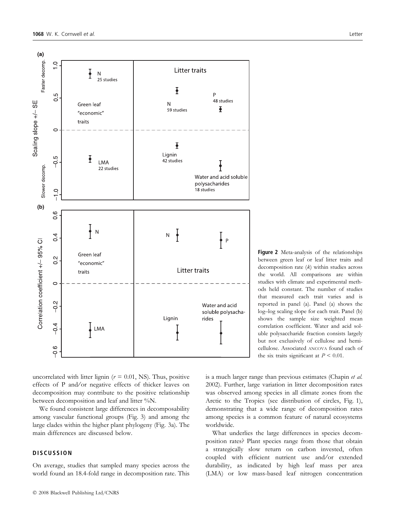

Figure 2 Meta-analysis of the relationships between green leaf or leaf litter traits and decomposition rate (k) within studies across the world. All comparisons are within studies with climate and experimental methods held constant. The number of studies that measured each trait varies and is reported in panel (a). Panel (a) shows the log–log scaling slope for each trait. Panel (b) shows the sample size weighted mean correlation coefficient. Water and acid soluble polysaccharide fraction consists largely but not exclusively of cellulose and hemicellulose. Associated ANCOVA found each of the six traits significant at  $P < 0.01$ .

uncorrelated with litter lignin ( $r = 0.01$ , NS). Thus, positive effects of P and/or negative effects of thicker leaves on decomposition may contribute to the positive relationship between decomposition and leaf and litter %N.

We found consistent large differences in decomposability among vascular functional groups (Fig. 3) and among the large clades within the higher plant phylogeny (Fig. 3a). The main differences are discussed below.

#### **DISCUSSION**

On average, studies that sampled many species across the world found an 18.4-fold range in decomposition rate. This is a much larger range than previous estimates (Chapin et al. 2002). Further, large variation in litter decomposition rates was observed among species in all climate zones from the Arctic to the Tropics (see distribution of circles, Fig. 1), demonstrating that a wide range of decomposition rates among species is a common feature of natural ecosystems worldwide.

What underlies the large differences in species decomposition rates? Plant species range from those that obtain a strategically slow return on carbon invested, often coupled with efficient nutrient use and/or extended durability, as indicated by high leaf mass per area (LMA) or low mass-based leaf nitrogen concentration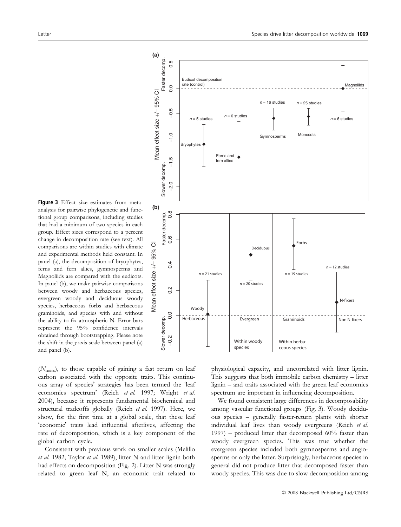**Figure 3** Effect size estimates from meta-<br>analysis for pairwise phylogenetic and funcanalysis for pairwise phylogenetic and functional group comparisons, including studies that had a minimum of two species in each group. Effect sizes correspond to a percent change in decomposition rate (see text). All comparisons are within studies with climate and experimental methods held constant. In panel (a), the decomposition of bryophytes, ferns and fern allies, gymnosperms and Magnoliids are compared with the eudicots. In panel (b), we make pairwise comparisons between woody and herbaceous species, evergreen woody and deciduous woody species, herbaceous forbs and herbaceous graminoids, and species with and without the ability to fix atmospheric N. Error bars represent the 95% confidence intervals obtained through bootstrapping. Please note the shift in the y-axis scale between panel (a) and panel (b).

 $(N<sub>mass</sub>)$ , to those capable of gaining a fast return on leaf carbon associated with the opposite traits. This continuous array of species' strategies has been termed the 'leaf economics spectrum' (Reich et al. 1997; Wright et al. 2004), because it represents fundamental biochemical and structural tradeoffs globally (Reich et al. 1997). Here, we show, for the first time at a global scale, that these leaf 'economic' traits lead influential afterlives, affecting the rate of decomposition, which is a key component of the global carbon cycle.

Consistent with previous work on smaller scales (Melillo et al. 1982; Taylor et al. 1989), litter N and litter lignin both had effects on decomposition (Fig. 2). Litter N was strongly related to green leaf N, an economic trait related to physiological capacity, and uncorrelated with litter lignin. This suggests that both immobile carbon chemistry – litter lignin – and traits associated with the green leaf economics spectrum are important in influencing decomposition.

We found consistent large differences in decomposability among vascular functional groups (Fig. 3). Woody deciduous species – generally faster-return plants with shorter individual leaf lives than woody evergreens (Reich et al. 1997) – produced litter that decomposed 60% faster than woody evergreen species. This was true whether the evergreen species included both gymnosperms and angiosperms or only the latter. Surprisingly, herbaceous species in general did not produce litter that decomposed faster than woody species. This was due to slow decomposition among

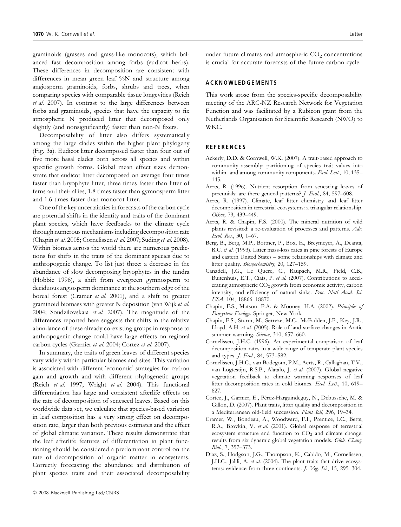graminoids (grasses and grass-like monocots), which balanced fast decomposition among forbs (eudicot herbs). These differences in decomposition are consistent with differences in mean green leaf %N and structure among angiosperm graminoids, forbs, shrubs and trees, when comparing species with comparable tissue longevities (Reich et al. 2007). In contrast to the large differences between forbs and graminoids, species that have the capacity to fix atmospheric N produced litter that decomposed only slightly (and nonsignificantly) faster than non-N fixers.

Decomposability of litter also differs systematically among the large clades within the higher plant phylogeny (Fig. 3a). Eudicot litter decomposed faster than four out of five more basal clades both across all species and within specific growth forms. Global mean effect sizes demonstrate that eudicot litter decomposed on average four times faster than bryophyte litter, three times faster than litter of ferns and their allies, 1.8 times faster than gymnosperm litter and 1.6 times faster than monocot litter.

One of the key uncertainties in forecasts of the carbon cycle are potential shifts in the identity and traits of the dominant plant species, which have feedbacks to the climate cycle through numerous mechanisms including decomposition rate (Chapin et al. 2005; Cornelissen et al. 2007; Suding et al. 2008). Within biomes across the world there are numerous predictions for shifts in the traits of the dominant species due to anthropogenic change. To list just three: a decrease in the abundance of slow decomposing bryophytes in the tundra (Hobbie 1996), a shift from evergreen gymnosperm to deciduous angiosperm dominance at the southern edge of the boreal forest (Cramer et al. 2001), and a shift to greater graminoid biomass with greater N deposition (van Wijk et al. 2004; Soudzilovskaia et al. 2007). The magnitude of the differences reported here suggests that shifts in the relative abundance of these already co-existing groups in response to anthropogenic change could have large effects on regional carbon cycles (Garnier et al. 2004; Cortez et al. 2007).

In summary, the traits of green leaves of different species vary widely within particular biomes and sites. This variation is associated with different 'economic' strategies for carbon gain and growth and with different phylogenetic groups (Reich et al. 1997; Wright et al. 2004). This functional differentiation has large and consistent afterlife effects on the rate of decomposition of senesced leaves. Based on this worldwide data set, we calculate that species-based variation in leaf composition has a very strong effect on decomposition rate, larger than both previous estimates and the effect of global climatic variation. These results demonstrate that the leaf afterlife features of differentiation in plant functioning should be considered a predominant control on the rate of decomposition of organic matter in ecosystems. Correctly forecasting the abundance and distribution of plant species traits and their associated decomposability under future climates and atmospheric  $CO<sub>2</sub>$  concentrations is crucial for accurate forecasts of the future carbon cycle.

#### ACKNOWLEDGEMENTS

This work arose from the species-specific decomposability meeting of the ARC-NZ Research Network for Vegetation Function and was facilitated by a Rubicon grant from the Netherlands Organisation for Scientific Research (NWO) to WKC.

#### **REFERENCES**

- Ackerly, D.D. & Cornwell, W.K. (2007). A trait-based approach to community assembly: partitioning of species trait values into within- and among-community components. Ecol. Lett., 10, 135-145.
- Aerts, R. (1996). Nutrient resorption from senescing leaves of perennials: are there general patterns? *J. Ecol.*, 84, 597–608.
- Aerts, R. (1997). Climate, leaf litter chemistry and leaf litter decomposition in terrestrial ecosystems: a triangular relationship. Oikos, 79, 439–449.
- Aerts, R. & Chapin, F.S. (2000). The mineral nutrition of wild plants revisited: a re-evaluation of processes and patterns. Adv. Ecol. Res., 30, 1–67.
- Berg, B., Berg, M.P., Bottner, P., Box, E., Breymeyer, A., Deanta, R.C. et al. (1993). Litter mass-loss rates in pine forests of Europe and eastern United States – some relationships with climate and litter quality. Biogeochemistry, 20, 127–159.
- Canadell, J.G., Le Quere, C., Raupach, M.R., Field, C.B., Buitenhuis, E.T., Ciais, P. et al. (2007). Contributions to accelerating atmospheric CO<sub>2</sub> growth from economic activity, carbon intensity, and efficiency of natural sinks. Proc. Natl Acad. Sci. USA, 104, 18866–18870.
- Chapin, F.S., Matson, P.A. & Mooney, H.A. (2002). Principles of Ecosystem Ecology. Springer, New York.
- Chapin, F.S., Sturm, M., Serreze, M.C., McFadden, J.P., Key, J.R., Lloyd, A.H. et al. (2005). Role of land-surface changes in Arctic summer warming. Science, 310, 657-660.
- Cornelissen, J.H.C. (1996). An experimental comparison of leaf decomposition rates in a wide range of temperate plant species and types. J. Ecol., 84, 573–582.
- Cornelissen, J.H.C., van Bodegom, P.M., Aerts, R., Callaghan, T.V., van Logtestijn, R.S.P., Alatalo, J. et al. (2007). Global negative vegetation feedback to climate warming responses of leaf litter decomposition rates in cold biomes. Ecol. Lett., 10, 619– 627.
- Cortez, J., Garnier, E., Pérez-Harguindeguy, N., Debussche, M. & Gillon, D. (2007). Plant traits, litter quality and decomposition in a Mediterranean old-field succession. Plant Soil, 296, 19–34.
- Cramer, W., Bondeau, A., Woodward, F.I., Prentice, I.C., Betts, R.A., Brovkin, V. et al. (2001). Global response of terrestrial ecosystem structure and function to  $CO<sub>2</sub>$  and climate change: results from six dynamic global vegetation models. Glob. Chang. Biol., 7, 357–373.
- Diaz, S., Hodgson, J.G., Thompson, K., Cabido, M., Cornelissen, J.H.C., Jalili, A. et al. (2004). The plant traits that drive ecosystems: evidence from three continents. J. Veg. Sci., 15, 295-304.